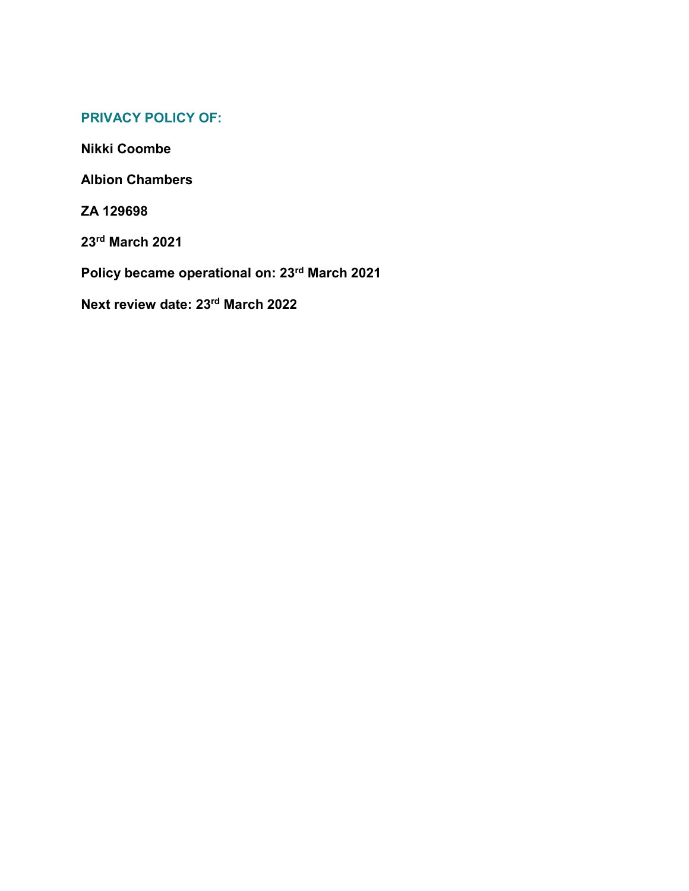# **PRIVACY POLICY OF:**

**Nikki Coombe**

**Albion Chambers**

**ZA 129698**

**23rd March 2021**

**Policy became operational on: 23rd March 2021**

**Next review date: 23rd March 2022**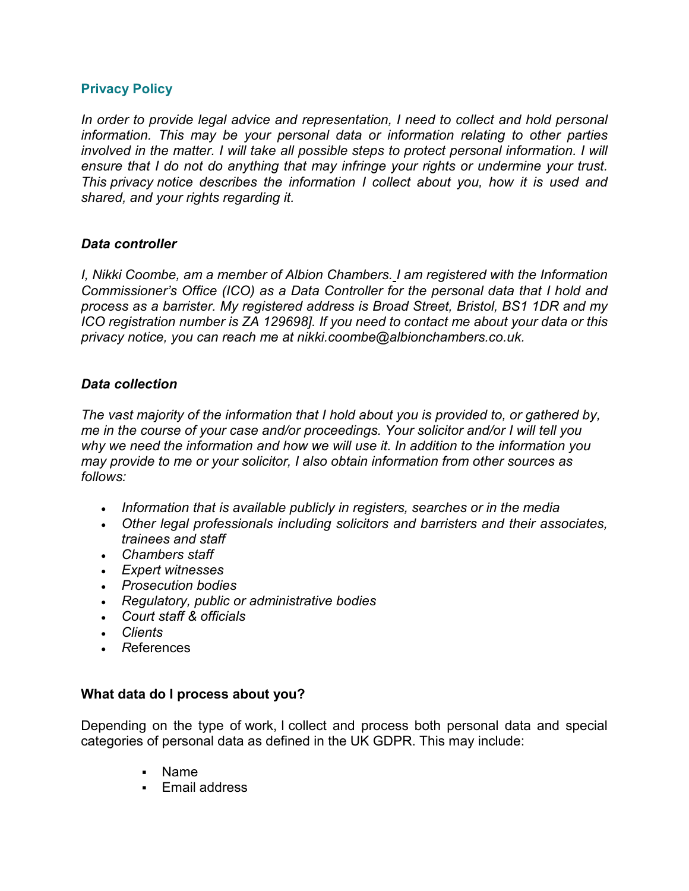## **Privacy Policy**

*In order to provide legal advice and representation, I need to collect and hold personal information. This may be your personal data or information relating to other parties involved in the matter. I will take all possible steps to protect personal information. I will ensure that I do not do anything that may infringe your rights or undermine your trust. This privacy notice describes the information I collect about you, how it is used and shared, and your rights regarding it.*

## *Data controller*

*I, Nikki Coombe, am a member of Albion Chambers. I am registered with the Information Commissioner's Office (ICO) as a Data Controller for the personal data that I hold and process as a barrister. My registered address is Broad Street, Bristol, BS1 1DR and my ICO registration number is ZA 129698]. If you need to contact me about your data or this privacy notice, you can reach me at nikki.coombe@albionchambers.co.uk.*

## *Data collection*

*The vast majority of the information that I hold about you is provided to, or gathered by, me in the course of your case and/or proceedings. Your solicitor and/or I will tell you why we need the information and how we will use it. In addition to the information you may provide to me or your solicitor, I also obtain information from other sources as follows:*

- *Information that is available publicly in registers, searches or in the media*
- *Other legal professionals including solicitors and barristers and their associates, trainees and staff*
- *Chambers staff*
- *Expert witnesses*
- *Prosecution bodies*
- *Regulatory, public or administrative bodies*
- *Court staff & officials*
- *Clients*
- *R*eferences

## **What data do I process about you?**

Depending on the type of work, I collect and process both personal data and special categories of personal data as defined in the UK GDPR. This may include:

- Name
- **Email address**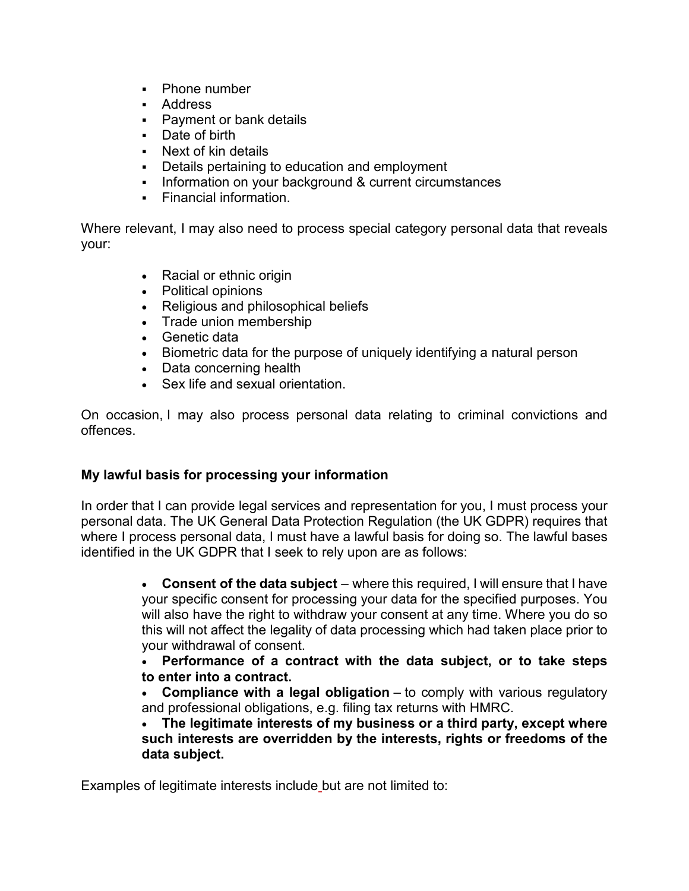- Phone number
- Address
- **Payment or bank details**
- Date of birth
- Next of kin details
- Details pertaining to education and employment
- Information on your background & current circumstances
- Financial information.

Where relevant, I may also need to process special category personal data that reveals your:

- Racial or ethnic origin
- Political opinions
- Religious and philosophical beliefs
- Trade union membership
- Genetic data
- Biometric data for the purpose of uniquely identifying a natural person
- Data concerning health
- Sex life and sexual orientation

On occasion, I may also process personal data relating to criminal convictions and offences.

# **My lawful basis for processing your information**

In order that I can provide legal services and representation for you, I must process your personal data. The UK General Data Protection Regulation (the UK GDPR) requires that where I process personal data, I must have a lawful basis for doing so. The lawful bases identified in the UK GDPR that I seek to rely upon are as follows:

> • **Consent of the data subject** – where this required, I will ensure that I have your specific consent for processing your data for the specified purposes. You will also have the right to withdraw your consent at any time. Where you do so this will not affect the legality of data processing which had taken place prior to your withdrawal of consent.

> • **Performance of a contract with the data subject, or to take steps to enter into a contract.**

> • **Compliance with a legal obligation** – to comply with various regulatory and professional obligations, e.g. filing tax returns with HMRC.

> • **The legitimate interests of my business or a third party, except where such interests are overridden by the interests, rights or freedoms of the data subject.**

Examples of legitimate interests include but are not limited to: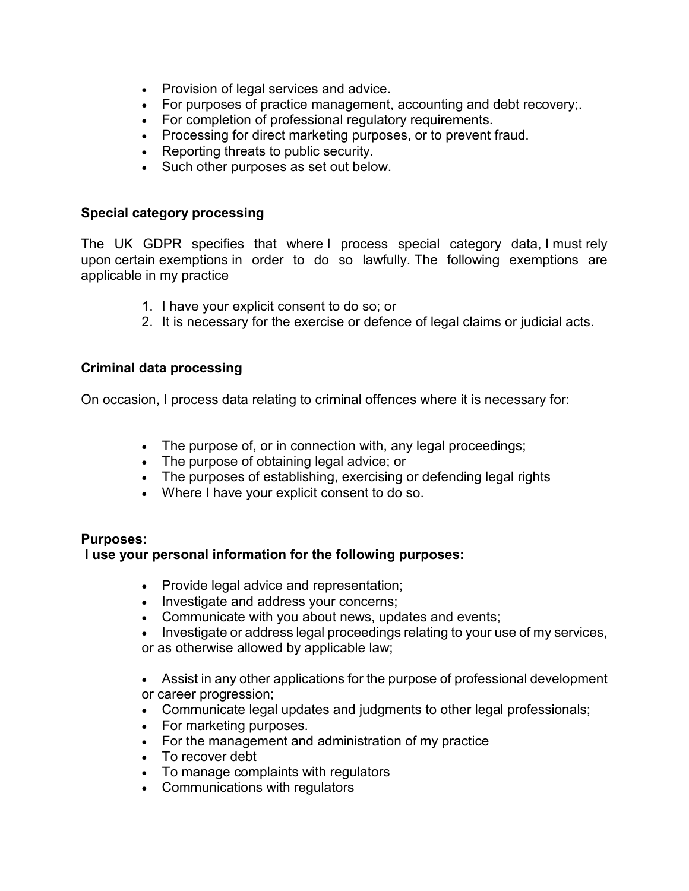- Provision of legal services and advice.
- For purposes of practice management, accounting and debt recovery;.
- For completion of professional regulatory requirements.
- Processing for direct marketing purposes, or to prevent fraud.
- Reporting threats to public security.
- Such other purposes as set out below.

## **Special category processing**

The UK GDPR specifies that where I process special category data, I must rely upon certain exemptions in order to do so lawfully. The following exemptions are applicable in my practice

- 1. I have your explicit consent to do so; or
- 2. It is necessary for the exercise or defence of legal claims or judicial acts.

## **Criminal data processing**

On occasion, I process data relating to criminal offences where it is necessary for:

- The purpose of, or in connection with, any legal proceedings;
- The purpose of obtaining legal advice; or
- The purposes of establishing, exercising or defending legal rights
- Where I have your explicit consent to do so.

# **Purposes:**

# **I use your personal information for the following purposes:**

- Provide legal advice and representation;
- Investigate and address your concerns;
- Communicate with you about news, updates and events;
- Investigate or address legal proceedings relating to your use of my services,

or as otherwise allowed by applicable law;

- Assist in any other applications for the purpose of professional development or career progression;
- Communicate legal updates and judgments to other legal professionals;
- For marketing purposes.
- For the management and administration of my practice
- To recover debt
- To manage complaints with regulators
- Communications with regulators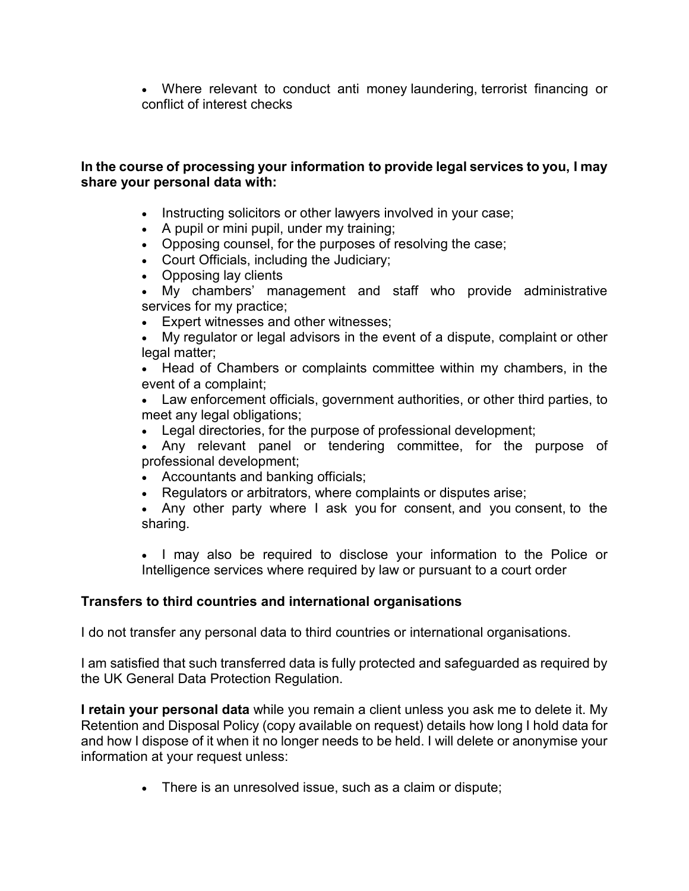• Where relevant to conduct anti money laundering, terrorist financing or conflict of interest checks

## **In the course of processing your information to provide legal services to you, I may share your personal data with:**

- Instructing solicitors or other lawyers involved in your case;
- A pupil or mini pupil, under my training;
- Opposing counsel, for the purposes of resolving the case;
- Court Officials, including the Judiciary;
- Opposing lay clients
- My chambers' management and staff who provide administrative services for my practice;
- Expert witnesses and other witnesses;
- My regulator or legal advisors in the event of a dispute, complaint or other legal matter;

• Head of Chambers or complaints committee within my chambers, in the event of a complaint;

• Law enforcement officials, government authorities, or other third parties, to meet any legal obligations;

- Legal directories, for the purpose of professional development;
- Any relevant panel or tendering committee, for the purpose of professional development;
- Accountants and banking officials;
- Regulators or arbitrators, where complaints or disputes arise;
- Any other party where I ask you for consent, and you consent, to the sharing.

• I may also be required to disclose your information to the Police or Intelligence services where required by law or pursuant to a court order

## **Transfers to third countries and international organisations**

I do not transfer any personal data to third countries or international organisations.

I am satisfied that such transferred data is fully protected and safeguarded as required by the UK General Data Protection Regulation.

**I retain your personal data** while you remain a client unless you ask me to delete it. My Retention and Disposal Policy (copy available on request) details how long I hold data for and how I dispose of it when it no longer needs to be held. I will delete or anonymise your information at your request unless:

• There is an unresolved issue, such as a claim or dispute;